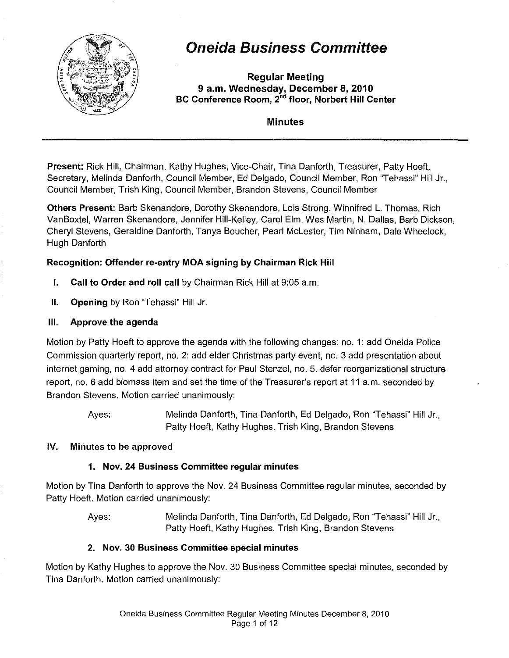

# Oneida Business Committee

Regular Meeting 9 a.m. Wednesday, December 8,2010 BC Conference Room, 2<sup>nd</sup> floor, Norbert Hill Center

### **Minutes**

Present: Rick Hill, Chairman, Kathy Hughes, Vice-Chair, Tina Danforth, Treasurer, Patty Hoeft, Secretary, Melinda Danforth, Council Member, Ed Delgado, Council Member, Ron "Tehassi" Hill Jr., Council Member, Trish King, Council Member, Brandon Stevens, Council Member

Others Present: Barb Skenandore, Dorothy Skenandore, Lois Strong, Winnifred L. Thomas, Rich VanBoxtel, Warren Skenandore, Jennifer Hill-Kelley, Carol Elm, Wes Martin, N. Dallas, Barb Dickson, Cheryl Stevens, Geraldine Danforth, Tanya Boucher, Pearl McLester, Tim Ninham, Dale Wheelock, Hugh Danforth

### Recognition: Offender re-entry MOA signing by Chairman Rick Hill

- I. Call to Order and roll call by Chairman Rick Hill at 9:05 a.m.
- II. Opening by Ron 'Tehassi" Hill Jr.

### III. Approve the agenda

Motion by Patty Hoeft to approve the agenda with the following changes: no. 1: add Oneida Police Commission quarterly report, no. 2: add elder Christmas party event, no. 3 add presentation about internet gaming, no. 4 add attorney contract for Paul Stenzel, no. 5. defer reorganizational structure report, no. 6 add biomass item and set the time of the Treasurer's report at 11 a. m. seconded by Brandon Stevens. Motion carried unanimously:

> Ayes: Melinda Danforth, Tina Danforth, Ed Delgado, Ron "Tehassi" Hill Jr., Patty Hoeft, Kathy Hughes, Trish King, Brandon Stevens

### IV. Minutes to be approved

# 1. Nov. 24 Business Committee regular minutes

Motion by Tina Danforth to approve the Nov. 24 Business Committee regular minutes, seconded by Patty Hoeft. Motion carried unanimously:

Ayes: Melinda Danforth, Tina Danforth, Ed Delgado, Ron "Tehassi" Hill Jr., Patty Hoeft, Kathy Hughes, Trish King, Brandon Stevens

# 2. Nov. 30 Business Committee special minutes

Motion by Kathy Hughes to approve the Nov. 30 Business Committee special minutes, seconded by Tina Danforth. Motion carried unanimously: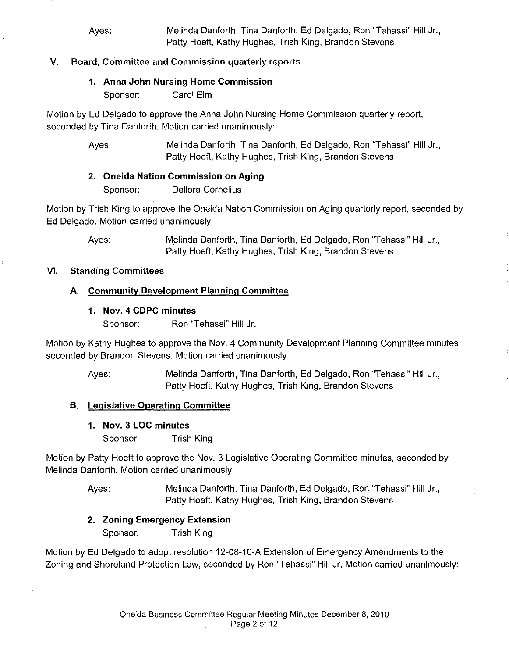Ayes: Melinda Danforth, Tina Danforth, Ed Delgado, Ron "Tehassi" Hill Jr., Patty Hoeft, Kathy Hughes, Trish King, Brandon Stevens

### V. Board, Committee and Commission quarterly reports

### 1. Anna John Nursing Home Commission

Sponsor: Carol Elm

Motion by Ed Delgado to approve the Anna John Nursing Home Commission quarterly report, seconded by Tina Danforth. Motion carried unanimously:

> Ayes: Melinda Danforth, Tina Danforth, Ed Delgado, Ron "Tehassi" Hill Jr., Patty Hoeft, Kathy Hughes, Trish King, Brandon Stevens

### 2. Oneida Nation Commission on Aging

Sponsor: Dellora Cornelius

Motion by Trish King to approve the Oneida Nation Commission on Aging quarterly report, seconded by Ed Delgado. Motion carried unanimously:

Ayes: Melinda Danforth, Tina Danforth, Ed Delgado, Ron "Tehassi" Hill Jr., Patty Hoeft, Kathy Hughes, Trish King, Brandon Stevens

### VI. Standing Committees

# A. Community Development Planning Committee

### 1. Nov. **4 CDPC** minutes

Sponsor: Ron "Tehassi" Hill Jr.

Motion by Kathy Hughes to approve the Nov. 4 Community Development Planning Committee minutes, seconded by Brandon Stevens. Motion carried unanimously:

> Ayes: Melinda Danforth, Tina Danforth, Ed Delgado, Ron "Tehassi" Hill Jr., Patty Hoeft, Kathy Hughes, Trish King, Brandon Stevens

# B. Legislative Operating Committee

- 1. Nov. 3 **LOC** minutes
	- Sponsor: Trish King

Motion by Patty Hoeft to approve the Nov. 3 Legislative Operating Committee minutes, seconded by Melinda Danforth. Motion carried unanimously:

> Ayes: Melinda Danforth, Tina Danforth, Ed Delgado, Ron "Tehassi" Hill Jr., Patty Hoeft, Kathy Hughes, Trish King, Brandon Stevens

# 2. Zoning Emergency Extension

Sponsor: Trish King

Motion by Ed Delgado to adopt resolution 12-08-10-A Extension of Emergency Amendments to the Zoning and Shoreland Protection Law, seconded by Ron "Tehassi" Hill Jr. Motion carried unanimously: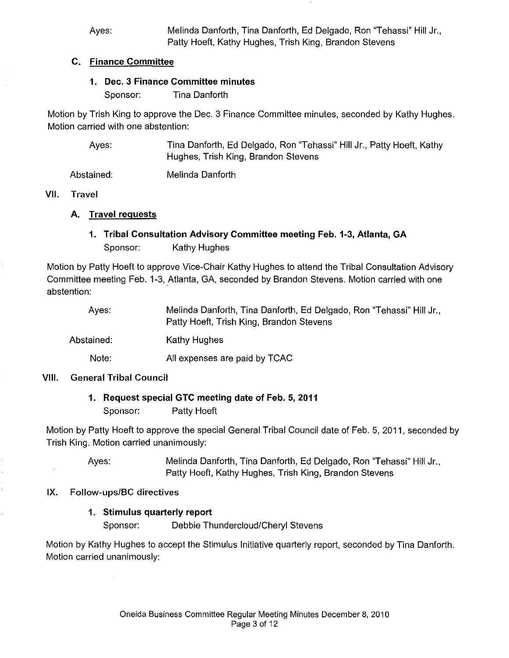Ayes: Melinda Danforth, Tina Danforth, Ed Delgado, Ron "Tehassi" Hill Jr., Patty Hoeft, Kathy Hughes, Trish King, Brandon Stevens

#### C. Finance Committee

### 1. Dec. 3 Finance Committee minutes

Sponsor: Tina Danforth

Motion by Trish King to approve the Dec. 3 Finance Committee minutes, seconded by Kathy Hughes. Motion carried with one abstention:

| Ayes: | Tina Danforth, Ed Delgado, Ron "Tehassi" Hill Jr., Patty Hoeft, Kathy |
|-------|-----------------------------------------------------------------------|
|       | Hughes, Trish King, Brandon Stevens                                   |
|       |                                                                       |

Abstained: Melinda Danforth

VII. Travel

### A. Travel requests

1. Tribal Consultation Advisory Committee meeting Feb. 1-3, Atlanta, GA Sponsor: Kathy Hughes

Motion by Patty Hoeft to approve Vice-Chair Kathy Hughes to attend the Tribal Consultation Advisory Committee meeting Feb. 1-3, Atlanta, GA, seconded by Brandon Stevens. Motion carried with one abstention:

| Aves:      | Melinda Danforth, Tina Danforth, Ed Delgado, Ron "Tehassi" Hill Jr.,<br>Patty Hoeft, Trish King, Brandon Stevens |
|------------|------------------------------------------------------------------------------------------------------------------|
| Abstained: | Kathy Hughes                                                                                                     |
| Note:      | All expenses are paid by TCAC                                                                                    |

### VIII. General Tribal Council

# 1. Request special GTC meeting date of Feb. 5, 2011

Sponsor: Patty Hoeft

Motion by Patty Hoeft to approve the special General Tribal Council date of Feb. 5, 2011, seconded by Trish King. Motion carried unanimously:

> Ayes: Melinda Danforth, Tina Danforth, Ed Delgado, Ron "Tehassi" Hill Jr., Patty Hoeft, Kathy Hughes, Trish King, Brandon Stevens

### IX. Follow-ups/BC directives

# 1. Stimulus quarterly report

Sponsor: Debbie Thundercloud/Cheryl Stevens

Motion by Kathy Hughes to accept the Stimulus Initiative quarterly report, seconded by Tina Danforth. Motion carried unanimously: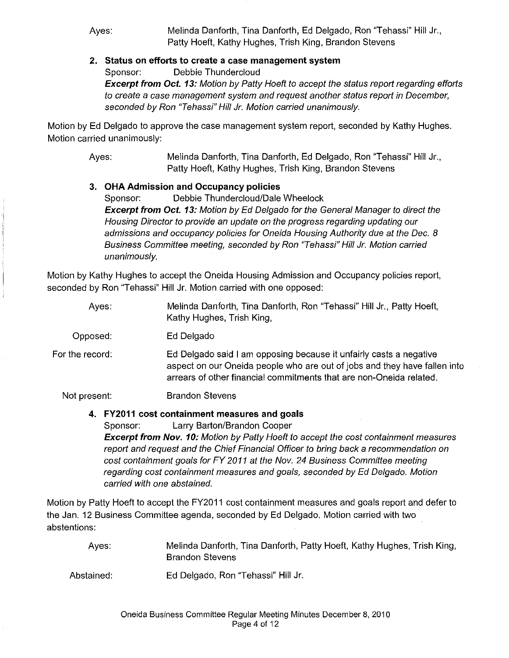Ayes: Melinda Danforth, Tina Danforth, Ed Delgado, Ron "Tehassi" Hill Jr., Patty Hoeft, Kathy Hughes, Trish King, Brandon Stevens

### 2. Status on efforts to create a case management system

Sponsor: Debbie Thundercloud

**Excerpt from Oct. 13:** Motion by Patty Hoeft to accept the status report regarding efforts to create a case management system and request another status report in December, seconded by Ron "Tehassi" Hill Jr. Motion carried unanimously.

Motion by Ed Delgado to approve the case management system report, seconded by Kathy Hughes. Motion carried unanimously:

> Ayes: Melinda Danforth, Tina Danforth, Ed Delgado, Ron "Tehassi" Hill Jr., Patty Hoeft, Kathy Hughes, Trish King, Brandon Stevens

### 3. OHA Admission and Occupancy policies

Sponsor: Debbie Thundercloud/Dale Wheelock **Excerpt from Oct. 13:** Motion by Ed Delgado for the General Manager to direct the Housing Director to provide an update on the progress regarding updating our admissions and occupancy policies for Oneida Housing Authority due at the Dec. 8 Business Committee meeting, seconded by Ron 'Tehassi" Hill Jr. Motion carried unanimously.

Motion by Kathy Hughes to accept the Oneida Housing Admission and Occupancy policies report, seconded by Ron "Tehassi" Hill Jr. Motion carried with one opposed:

| Ayes:           | Melinda Danforth, Tina Danforth, Ron "Tehassi" Hill Jr., Patty Hoeft,<br>Kathy Hughes, Trish King,                                                                                                                     |
|-----------------|------------------------------------------------------------------------------------------------------------------------------------------------------------------------------------------------------------------------|
| Opposed:        | Ed Delgado                                                                                                                                                                                                             |
| For the record: | Ed Delgado said I am opposing because it unfairly casts a negative<br>aspect on our Oneida people who are out of jobs and they have fallen into<br>arrears of other financial commitments that are non-Oneida related. |
| Not present:    | <b>Brandon Stevens</b>                                                                                                                                                                                                 |

### 4. FY2011 cost containment measures and goals

Sponsor: Larry Barton/Brandon Cooper

**Excerpt from Nov. 10:** Motion by Patty Hoeft to accept the cost containment measures report and request and the Chief Financial Officer to bring back a recommendation on cost containment goals for FY 2011 at the Nov. 24 Business Committee meeting regarding cost containment measures and goals, seconded by Ed Delgado. Motion carried with one abstained.

Motion by Patty Hoeft to accept the FY2011 cost containment measures and goals report and defer to the Jan. 12 Business Committee agenda, seconded by Ed Delgado. Motion carried with two abstentions:

Ayes: Melinda Danforth, Tina Danforth, Patty Hoeft, Kathy Hughes, Trish King, Brandon Stevens

Abstained: Ed Delgado, Ron "Tehassi" Hill Jr.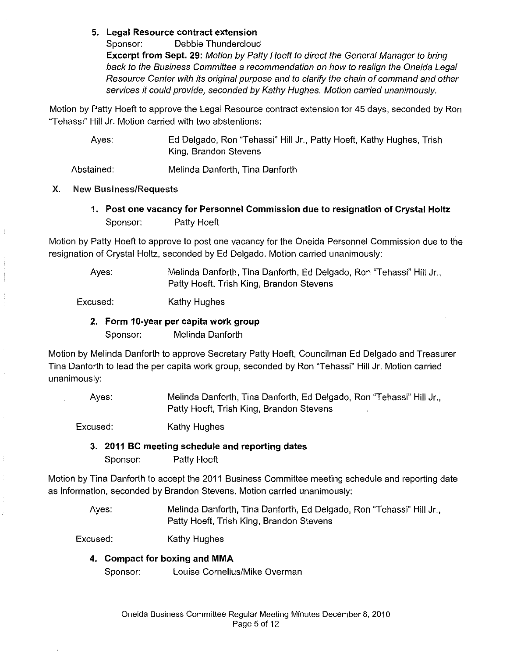### **5. Legal Resource contract extension**

Sponsor: Debbie Thundercloud

**Excerpt from Sept. 29:** Motion by Patty Hoeft to direct the General Manager to bring back to the Business Committee a recommendation on how to realign the Oneida Legal Resource Center with its original purpose and to clarify the chain of command and other services it could provide, seconded by Kathy Hughes. Motion carried unanimously.

Motion by Patty Hoeft to approve the Legal Resource contract extension for 45 days, seconded by Ron "Tehassi" Hill Jr. Motion carried with two abstentions:

Ayes: **Ed** Delgado, Ron "Tehassi" Hill Jr., Patty Hoeft, Kathy Hughes, Trish King, Brandon Stevens

Abstained: Melinda Danforth, Tina Danforth

### X. New Business/Requests

**1. Post one vacancy for Personnel Commission due to resignation of Crystal Holtz**  Sponsor: Patty Hoeft

Motion by Patty Hoeft to approve to post one vacancy for the Oneida Personnel Commission due to the resignation of Crystal Holtz, seconded by Ed Delgado. Motion carried unanimously:

Ayes: Melinda Danforth, Tina Danforth, Ed Delgado, Ron "Tehassi" Hill Jr., Patty Hoeft, Trish King, Brandon Stevens

Excused: Kathy Hughes

# **2. Form 10·year per capita work group**

Sponsor: Melinda Danforth

Motion by Melinda Danforth to approve Secretary Patty Hoeft, Councilman Ed Delgado and Treasurer Tina Danforth to lead the per capita work group, seconded by Ron "Tehassi" Hill Jr. Motion carried unanimously:

Ayes: Melinda Danforth, Tina Danforth, Ed Delgado, Ron "Tehassi" Hill Jr., Patty Hoeft, Trish King, Brandon Stevens

Excused: Kathy Hughes

# 3. **2011 BC meeting schedule and reporting dates**

Sponsor: Patty Hoeft

Motion by Tina Danforth to accept the 2011 Business Committee meeting schedule and reporting date as information, seconded by Brandon Stevens. Motion carried unanimously:

Ayes: Melinda Danforth, Tina Danforth, Ed Delgado, Ron "Tehassi" Hill Jr., Patty Hoeft, Trish King, Brandon Stevens

Excused: Kathy Hughes

# 4. **Compact for boxing and MMA**

Sponsor: Louise Cornelius/Mike Overman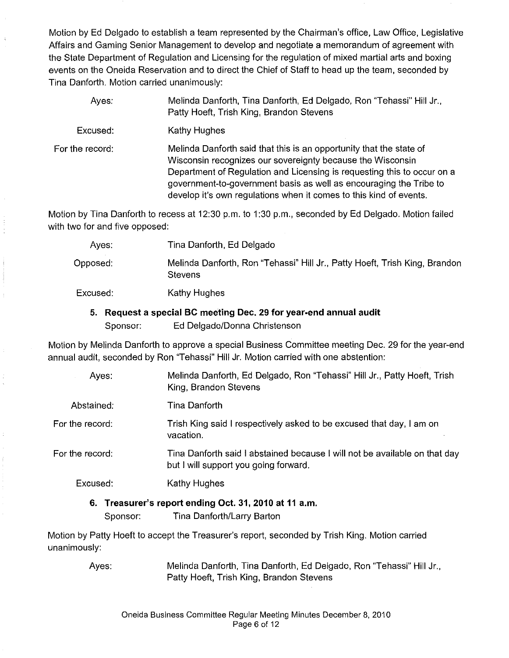Motion by Ed Delgado to establish a team represented by the Chairman's office, Law Office, Legislative Affairs and Gaming Senior Management to develop and negotiate a memorandum of agreement with the State Department of Regulation and Licensing for the regulation of mixed martial arts and boxing events on the Oneida Reservation and to direct the Chief of Staff to head up the team, seconded by Tina Danforth. Motion carried unanimously:

- Ayes: Melinda Danforth, Tina Danforth, Ed Delgado, Ron "Tehassi" Hill Jr., Patty Hoeft, Trish King, Brandon Stevens
- Excused: Kathy Hughes
- For the record: Melinda Danforth said that this is an opportunity that the state of Wisconsin recognizes our sovereignty because the Wisconsin Department of Regulation and Licensing is requesting this to occur on a government-to-government basis as well as encouraging the Tribe to develop it's own regulations when it comes to this kind of events.

Motion by Tina Danforth to recess at 12:30 p.m. to 1 :30 p.m., seconded by Ed Delgado. Motion failed with two for and five opposed:

- Ayes: Tina Danforth, Ed Delgado
- Opposed: Melinda Danforth, Ron "Tehassi" Hill Jr., Patty Hoeft, Trish King, Brandon **Stevens**

Excused: Kathy Hughes

# 5. Request a special BC meeting Dec. 29 for year-end annual audit

Sponsor: Ed Delgado/Donna Christenson

Motion by Melinda Danforth to approve a special Business Committee meeting Dec. 29 for the year-end annual audit, seconded by Ron "Tehassi" Hill Jr. Motion carried with one abstention:

| Ayes:                                                 | Melinda Danforth, Ed Delgado, Ron "Tehassi" Hill Jr., Patty Hoeft, Trish<br>King, Brandon Stevens                   |
|-------------------------------------------------------|---------------------------------------------------------------------------------------------------------------------|
| Abstained:                                            | Tina Danforth                                                                                                       |
| For the record:                                       | Trish King said I respectively asked to be excused that day, I am on<br>vacation.                                   |
| For the record:                                       | Tina Danforth said I abstained because I will not be available on that day<br>but I will support you going forward. |
| Excused:                                              | Kathy Hughes                                                                                                        |
| 6. Treasurer's report ending Oct. 31, 2010 at 11 a.m. |                                                                                                                     |

Sponsor: Tina Danforth/Larry Barton

Motion by Patty Hoeft to accept the Treasurer's report, seconded by Trish King. Motion carried unanimously:

> Ayes: Melinda Danforth, Tina Danforth, Ed Delgado, Ron "Tehassi" Hill Jr., Patty Hoeft, Trish King, Brandon Stevens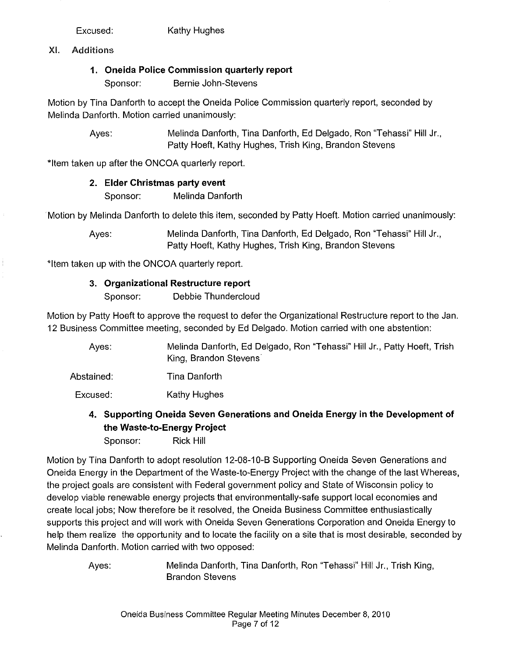Excused: Kathy Hughes

XI. Additions

# 1. Oneida Police Commission quarterly report

Sponsor: Bernie John-Stevens

Motion by Tina Danforth to accept the Oneida Police Commission quarterly report, seconded by Melinda Danforth. Motion carried unanimously:

> Ayes: Melinda Danforth, Tina Danforth, Ed Delgado, Ron "Tehassi" Hill Jr., Patty Hoeft, Kathy Hughes, Trish King, Brandon Stevens

\*Item taken up after the ONCOA quarterly report.

# 2. Elder Christmas party event

Sponsor: Melinda Danforth

Motion by Melinda Danforth to delete this item, seconded by Patty Hoeft. Motion carried unanimously:

Ayes: Melinda Danforth, Tina Danforth, Ed Delgado, Ron "Tehassi" Hill Jr., Patty Hoeft, Kathy Hughes, Trish King, Brandon Stevens

'Item taken up with the ONCOA quarterly report.

# 3. Organizational Restructure report

Sponsor: Debbie Thundercloud

Motion by Patty Hoeft to approve the request to defer the Organizational Restructure report to the Jan. 12 Business Committee meeting, seconded by Ed Delgado. Motion carried with one abstention:

| Aves:      | Melinda Danforth, Ed Delgado, Ron "Tehassi" Hill Jr., Patty Hoeft, Trish<br>King, Brandon Stevens |
|------------|---------------------------------------------------------------------------------------------------|
| Abstained: | Tina Danforth                                                                                     |
| Excused:   | Kathy Hughes                                                                                      |

4. Supporting Oneida Seven Generations and Oneida Energy in the Development of the Waste-to-Energy Project

Sponsor: Rick Hill

Motion by Tina Danforth to adopt resolution 12-08-10-B Supporting Oneida Seven Generations and Oneida Energy in the Department of the Waste-to-Energy Project with the change of the last Whereas, the project goals are consistent with Federal government policy and State of Wisconsin policy to develop viable renewable energy projects that environmentally-safe support local economies and create local jobs; Now therefore be it resolved, the Oneida Business Committee enthusiastically supports this project and will work with Oneida Seven Generations Corporation and Oneida Energy to help them realize the opportunity and to locate the facility on a site that is most desirable, seconded by Melinda Danforth. Motion carried with two opposed:

Ayes: Melinda Danforth, Tina Danforth, Ron "Tehassi" Hill Jr., Trish King, Brandon Stevens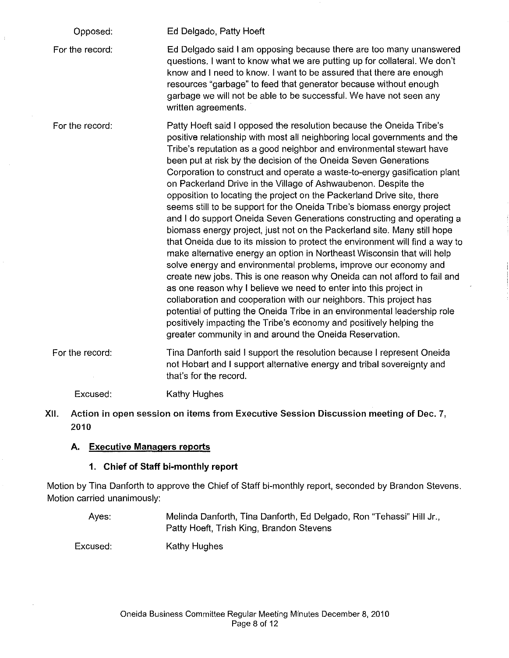Opposed: For the record: Ed Delgado, Patty Hoeft Ed Delgado said I am opposing because there are too many unanswered questions. I want to know what we are putting up for collateral. We don't know and I need to know. I want to be assured that there are enough resources "garbage" to feed that generator because without enough garbage we will not be able to be successful. We have not seen any

written agreements.

For the record: Patty Hoeft said I opposed the resolution because the Oneida Tribe's positive relationship with most all neighboring local govemments and the Tribe's reputation as a good neighbor and environmental stewart have been put at risk by the decision of the Oneida Seven Generations Corporation to construct and operate a waste-to-energy gasification plant on Packerland Drive in the Village of Ashwaubenon. Despite the opposition to locating the project on the Packerland Drive site, there seems still to be support for the Oneida Tribe's biomass energy project and I do support Oneida Seven Generations constructing and operating a biomass energy project, just not on the Packerland site. Many still hope that Oneida due to its mission to protect the environment will find a way to make altemative energy an option in Northeast Wisconsin that will help solve energy and environmental problems, improve our economy and create new jobs. This is one reason why Oneida can not afford to fail and as one reason why I believe we need to enter into this project in collaboration and cooperation with our neighbors. This project has potential of putting the Oneida Tribe in an environmental leadership role positively impacting the Tribe's economy and positively helping the greater community in and around the Oneida Reservation.

For the record: Tina Danforth said I support the resolution because I represent Oneida not Hobart and I support alternative energy and tribal sovereignty and that's for the record.

Excused: Kathy Hughes

XII. Action in open session on items from Executive Session Discussion meeting of Dec. 7, 2010

### A. Executive Managers reports

# 1. Chief of **Staff** bi-monthly report

Motion by Tina Danforth to approve the Chief of Staff bi-monthly report, seconded by Brandon Stevens. Motion carried unanimously:

Ayes: Melinda Danforth, Tina Danforth, Ed Delgado, Ron "Tehassi" Hill Jr., Patty Hoeft, Trish King, Brandon Stevens

Excused: Kathy Hughes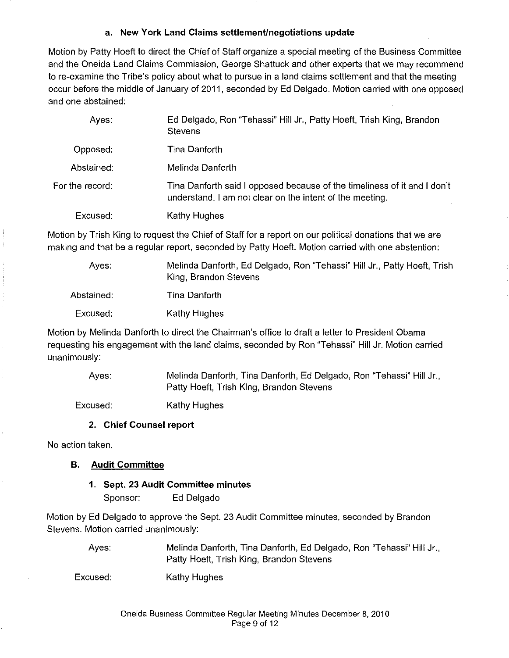### a. New York Land Claims settlement/negotiations update

Motion by Patty Hoeft to direct the Chief of Staff organize a special meeting of the Business Committee and the Oneida Land Claims Commission, George Shattuck and other experts that we may recommend to re-examine the Tribe's policy about what to pursue in a land claims settlement and that the meeting occur before the middle of January of 2011, seconded by Ed Delgado. Motion carried with one opposed and one abstained:

| Ayes:           | Ed Delgado, Ron "Tehassi" Hill Jr., Patty Hoeft, Trish King, Brandon<br><b>Stevens</b>                                               |
|-----------------|--------------------------------------------------------------------------------------------------------------------------------------|
| Opposed:        | Tina Danforth                                                                                                                        |
| Abstained:      | Melinda Danforth                                                                                                                     |
| For the record: | Tina Danforth said I opposed because of the timeliness of it and I don't<br>understand. I am not clear on the intent of the meeting. |
| Excused:        | Kathy Hughes                                                                                                                         |

Motion by Trish King to request the Chief of Staff for a report on our political donations that we are making and that be a regular report, seconded by Patty Hoeft. Motion carried with one abstention:

| Aves:      | Melinda Danforth, Ed Delgado, Ron "Tehassi" Hill Jr., Patty Hoeft, Trish<br>King, Brandon Stevens |
|------------|---------------------------------------------------------------------------------------------------|
| Abstained: | Tina Danforth                                                                                     |
| Excused:   | Kathy Hughes                                                                                      |

Motion by Melinda Danforth to direct the Chairman's office to draft a letter to President Obama requesting his engagement with the land claims, seconded by Ron "Tehassi" Hill Jr. Motion carried unanimously:

> Ayes: Melinda Danforth, Tina Danforth, Ed Delgado, Ron "Tehassi" Hill Jr., Patty Hoeft, Trish King, Brandon Stevens

Excused: Kathy Hughes

# 2. Chief Counsel report

No action taken.

### B. Audit Committee

### 1. Sept. 23 Audit Committee minutes

Sponsor: Ed Delgado

Motion by Ed Delgado to approve the Sept. 23 Audit Committee minutes, seconded by Brandon Stevens. Motion carried unanimously:

> Ayes: Melinda Danforth, Tina Danforth, Ed Delgado, Ron "Tehassi" Hill Jr., Patty Hoeft, Trish King, Brandon Stevens

Excused: Kathy Hughes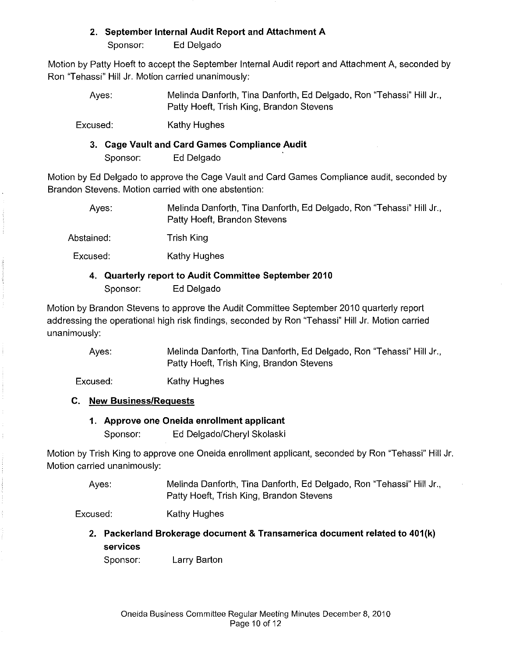### 2. September Internal Audit Report and Attachment A

Sponsor: Ed Delgado

Motion by Patty Hoeft to accept the September Internal Audit report and Attachment A, seconded by Ron "Tehassi" Hill Jr. Motion carried unanimously:

> Ayes: Melinda Danforth, Tina Danforth, Ed Delgado, Ron "Tehassi" Hill Jr., Patty Hoeft, Trish King, Brandon Stevens

Excused: Kathy Hughes

# 3. Cage Vault and Card Games Compliance Audit

Sponsor: Ed Delgado

Motion by Ed Delgado to approve the Cage Vault and Card Games Compliance audit, seconded by Brandon Stevens. Motion carried with one abstention:

Ayes: Melinda Danforth, Tina Danforth, Ed Delgado, Ron "Tehassi" Hill Jr., Patty Hoeft, Brandon Stevens

Abstained: Trish King

Excused: Kathy Hughes

# 4. Quarterly report to Audit Committee September 2010 Sponsor: Ed Delgado

Motion by Brandon Stevens to approve the Audit Committee September 2010 quarterly report addressing the operational high risk findings, seconded by Ron "Tehassi" Hill Jr. Motion carried unanimously:

> Ayes: Melinda Danforth, Tina Danforth, Ed Delgado, Ron "Tehassi" Hill Jr., Patty Hoeft, Trish King, Brandon Stevens

Excused: Kathy Hughes

# C. New Business/Requests

# 1. Approve one Oneida enrollment applicant

Sponsor: Ed Delgado/Cheryl Skolaski

Motion by Trish King to approve one Oneida enrollment applicant, seconded by Ron "Tehassi" Hill Jr. Motion carried unanimously:

> Ayes: Melinda Danforth, Tina Danforth, Ed Delgado, Ron "Tehassi" Hill Jr., Patty Hoeft, Trish King, Brandon Stevens

Excused: Kathy Hughes

> 2. Packerland Brokerage document & Transamerica document related to 401(k) services

Sponsor: Larry Barton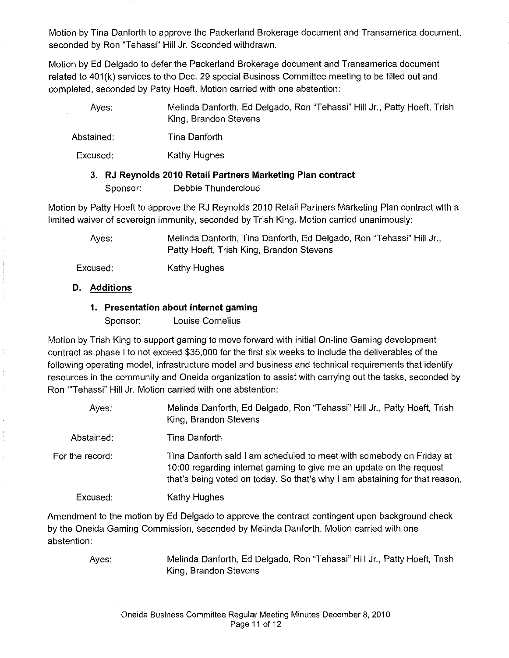Motion by Tina Danforth to approve the Packerland Brokerage document and Transamerica document, seconded by Ron "Tehassi" Hill Jr. Seconded withdrawn.

Motion by Ed Delgado to defer the Packerland Brokerage document and Transamerica document related to 401(k) services to the Dec. 29 special Business Committee meeting to be filled out and completed, seconded by Patty Hoeft. Motion carried with one abstention:

| Aves:      | Melinda Danforth, Ed Delgado, Ron "Tehassi" Hill Jr., Patty Hoeft, Trish<br>King, Brandon Stevens |
|------------|---------------------------------------------------------------------------------------------------|
| Abstained: | Tina Danforth                                                                                     |
| Excused:   | Kathy Hughes                                                                                      |

# 3. **RJ Reynolds 2010 Retail Partners Marketing Plan contract**

Sponsor: Debbie Thundercloud

Motion by Patty Hoeft to approve the RJ Reynolds 2010 Retail Partners Marketing Plan contract with a limited waiver of sovereign immunity, seconded by Trish King. Motion carried unanimously:

> Ayes: Melinda Danforth, Tina Danforth, Ed Delgado, Ron "Tehassi" Hill Jr., Patty Hoeft, Trish King, Brandon Stevens

Excused: Kathy Hughes

### **D. Additions**

 $\hat{\mathcal{L}}$ 

### **1. Presentation about internet gaming**

Sponsor: Louise Cornelius

Motion by Trish King to support gaming to move forward with initial On-line Gaming development contract as phase I to not exceed \$35,000 for the first six weeks to include the deliverables of the following operating model, infrastructure model and business and technical requirements that identify resources in the community and Oneida organization to assist with carrying out the tasks, seconded by Ron "'Tehassi" Hill Jr. Motion carried with one abstention:

| Aves:           | Melinda Danforth, Ed Delgado, Ron "Tehassi" Hill Jr., Patty Hoeft, Trish<br>King, Brandon Stevens                                                                                                                          |
|-----------------|----------------------------------------------------------------------------------------------------------------------------------------------------------------------------------------------------------------------------|
| Abstained:      | Tina Danforth                                                                                                                                                                                                              |
| For the record: | Tina Danforth said I am scheduled to meet with somebody on Friday at<br>10:00 regarding internet gaming to give me an update on the request<br>that's being voted on today. So that's why I am abstaining for that reason. |
| Excused:        | Kathy Hughes                                                                                                                                                                                                               |

Amendment to the motion by Ed Delgado to approve the contract contingent upon background check by the Oneida Gaming Commission, seconded by Melinda Danforth. Motion carried with one abstention:

Ayes: Melinda Danforth, Ed Delgado, Ron "Tehassi" Hill Jr., Patty Hoeft, Trish King, Brandon Stevens